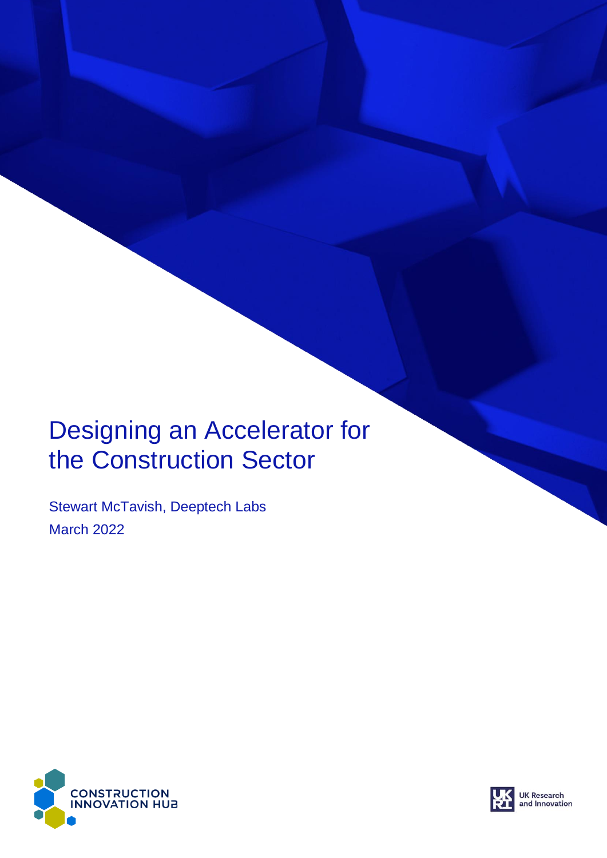## Designing an Accelerator for the Construction Sector

Stewart McTavish, Deeptech Labs March 2022



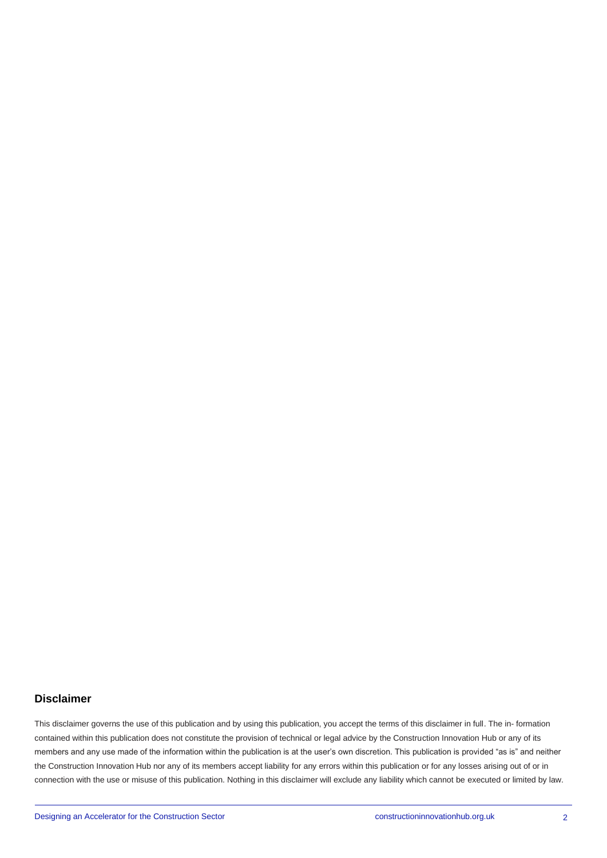#### **Disclaimer**

This disclaimer governs the use of this publication and by using this publication, you accept the terms of this disclaimer in full. The in- formation contained within this publication does not constitute the provision of technical or legal advice by the Construction Innovation Hub or any of its members and any use made of the information within the publication is at the user's own discretion. This publication is provided "as is" and neither the Construction Innovation Hub nor any of its members accept liability for any errors within this publication or for any losses arising out of or in connection with the use or misuse of this publication. Nothing in this disclaimer will exclude any liability which cannot be executed or limited by law.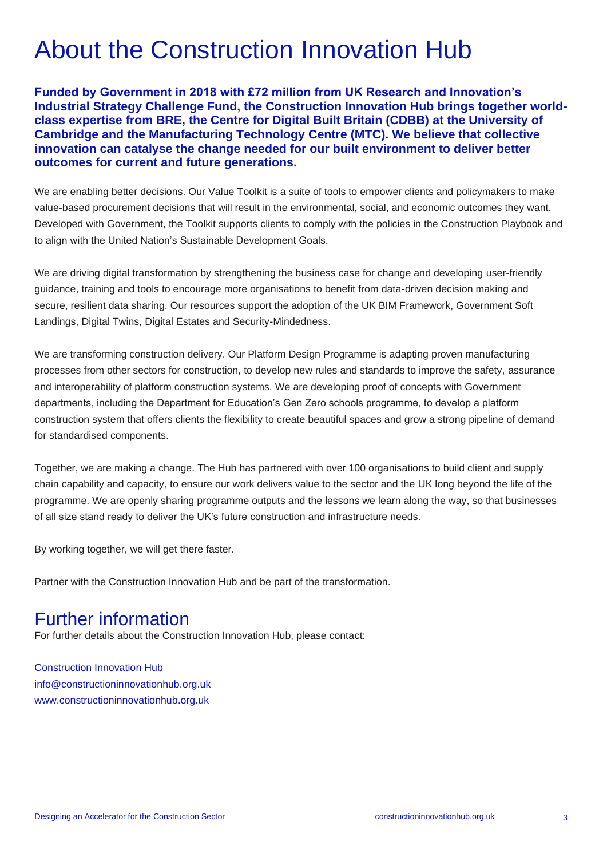# About the Construction Innovation Hub

**Funded by Government in 2018 with £72 million from UK Research and Innovation's Industrial Strategy Challenge Fund, the Construction Innovation Hub brings together worldclass expertise from BRE, the Centre for Digital Built Britain (CDBB) at the University of Cambridge and the Manufacturing Technology Centre (MTC). We believe that collective innovation can catalyse the change needed for our built environment to deliver better outcomes for current and future generations.**

We are enabling better decisions. Our Value Toolkit is a suite of tools to empower clients and policymakers to make value-based procurement decisions that will result in the environmental, social, and economic outcomes they want. Developed with Government, the Toolkit supports clients to comply with the policies in the Construction Playbook and to align with the United Nation's Sustainable Development Goals.

We are driving digital transformation by strengthening the business case for change and developing user-friendly guidance, training and tools to encourage more organisations to benefit from data-driven decision making and secure, resilient data sharing. Our resources support the adoption of the UK BIM Framework, Government Soft Landings, Digital Twins, Digital Estates and Security-Mindedness.

We are transforming construction delivery. Our Platform Design Programme is adapting proven manufacturing processes from other sectors for construction, to develop new rules and standards to improve the safety, assurance and interoperability of platform construction systems. We are developing proof of concepts with Government departments, including the Department for Education's Gen Zero schools programme, to develop a platform construction system that offers clients the flexibility to create beautiful spaces and grow a strong pipeline of demand for standardised components.

Together, we are making a change. The Hub has partnered with over 100 organisations to build client and supply chain capability and capacity, to ensure our work delivers value to the sector and the UK long beyond the life of the programme. We are openly sharing programme outputs and the lessons we learn along the way, so that businesses of all size stand ready to deliver the UK's future construction and infrastructure needs.

By working together, we will get there faster.

Partner with the Construction Innovation Hub and be part of the transformation.

#### Further information

For further details about the Construction Innovation Hub, please contact:

Construction Innovation Hub [info@constructioninnovationhub.org.uk](mailto:info@constructioninnovationhub.org.uk) [www.constructioninnovationhub.org.uk](http://www.constructioninnovationhub.org.uk/)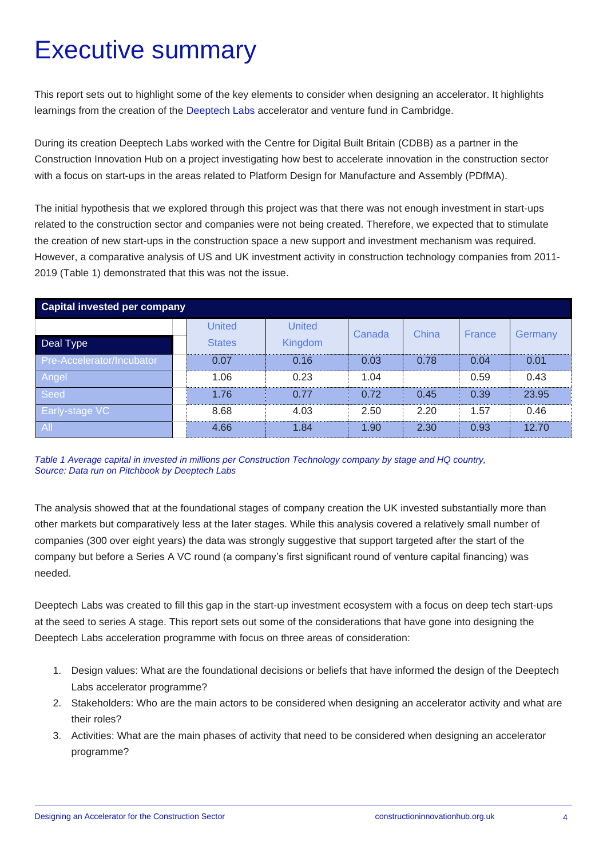# Executive summary

This report sets out to highlight some of the key elements to consider when designing an accelerator. It highlights learnings from the creation of the [Deeptech Labs](https://dtl.vc/) accelerator and venture fund in Cambridge.

During its creation Deeptech Labs worked with the Centre for Digital Built Britain (CDBB) as a partner in the Construction Innovation Hub on a project investigating how best to accelerate innovation in the construction sector with a focus on start-ups in the areas related to Platform Design for Manufacture and Assembly (PDfMA).

The initial hypothesis that we explored through this project was that there was not enough investment in start-ups related to the construction sector and companies were not being created. Therefore, we expected that to stimulate the creation of new start-ups in the construction space a new support and investment mechanism was required. However, a comparative analysis of US and UK investment activity in construction technology companies from 2011- 2019 (Table 1) demonstrated that this was not the issue.

| <b>Capital invested per company</b> |                         |                          |        |       |        |         |
|-------------------------------------|-------------------------|--------------------------|--------|-------|--------|---------|
| Deal Type                           | United<br><b>States</b> | <b>United</b><br>Kingdom | Canada | China | France | Germany |
| Pre-Accelerator/Incubator           | 0.07                    | 0.16                     | 0.03   | 0.78  | 0.04   | 0.01    |
| Angel                               | 1.06                    | 0.23                     | 1.04   |       | 0.59   | 0.43    |
| Seed                                | 1.76                    | 0.77                     | 0.72   | 0.45  | 0.39   | 23.95   |
| <b>Early-stage VC</b>               | 8.68                    | 4.03                     | 2.50   | 2.20  | 1.57   | 0.46    |
| AII                                 | 4.66                    | 1.84                     | 1.90   | 2.30  | 0.93   | 12.70   |

*Table 1 Average capital in invested in millions per Construction Technology company by stage and HQ country, Source: Data run on Pitchbook by Deeptech Labs*

The analysis showed that at the foundational stages of company creation the UK invested substantially more than other markets but comparatively less at the later stages. While this analysis covered a relatively small number of companies (300 over eight years) the data was strongly suggestive that support targeted after the start of the company but before a Series A VC round (a company's first significant round of venture capital financing) was needed.

Deeptech Labs was created to fill this gap in the start-up investment ecosystem with a focus on deep tech start-ups at the seed to series A stage. This report sets out some of the considerations that have gone into designing the Deeptech Labs acceleration programme with focus on three areas of consideration:

- 1. Design values: What are the foundational decisions or beliefs that have informed the design of the Deeptech Labs accelerator programme?
- 2. Stakeholders: Who are the main actors to be considered when designing an accelerator activity and what are their roles?
- 3. Activities: What are the main phases of activity that need to be considered when designing an accelerator programme?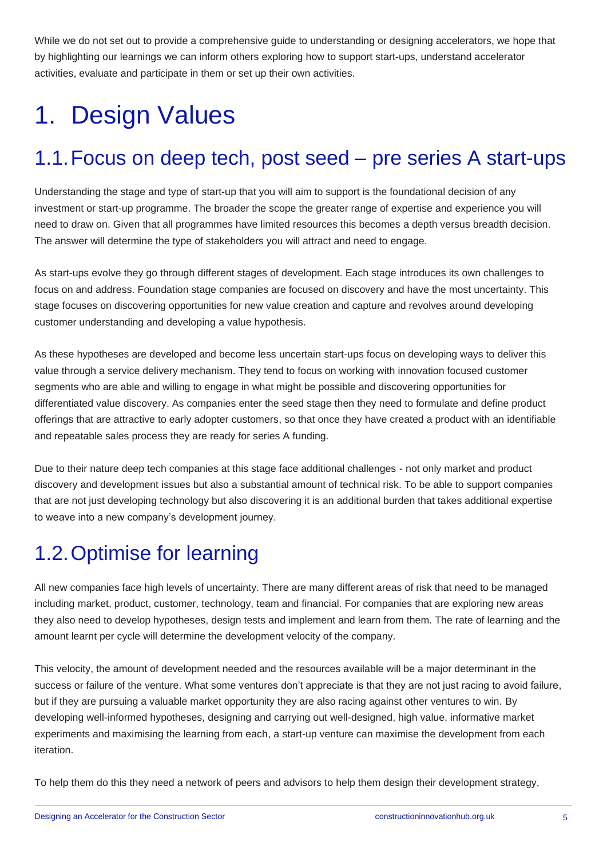While we do not set out to provide a comprehensive guide to understanding or designing accelerators, we hope that by highlighting our learnings we can inform others exploring how to support start-ups, understand accelerator activities, evaluate and participate in them or set up their own activities.

# 1. Design Values

#### 1.1.Focus on deep tech, post seed – pre series A start-ups

Understanding the stage and type of start-up that you will aim to support is the foundational decision of any investment or start-up programme. The broader the scope the greater range of expertise and experience you will need to draw on. Given that all programmes have limited resources this becomes a depth versus breadth decision. The answer will determine the type of stakeholders you will attract and need to engage.

As start-ups evolve they go through different stages of development. Each stage introduces its own challenges to focus on and address. Foundation stage companies are focused on discovery and have the most uncertainty. This stage focuses on discovering opportunities for new value creation and capture and revolves around developing customer understanding and developing a value hypothesis.

As these hypotheses are developed and become less uncertain start-ups focus on developing ways to deliver this value through a service delivery mechanism. They tend to focus on working with innovation focused customer segments who are able and willing to engage in what might be possible and discovering opportunities for differentiated value discovery. As companies enter the seed stage then they need to formulate and define product offerings that are attractive to early adopter customers, so that once they have created a product with an identifiable and repeatable sales process they are ready for series A funding.

Due to their nature deep tech companies at this stage face additional challenges - not only market and product discovery and development issues but also a substantial amount of technical risk. To be able to support companies that are not just developing technology but also discovering it is an additional burden that takes additional expertise to weave into a new company's development journey.

#### 1.2.Optimise for learning

All new companies face high levels of uncertainty. There are many different areas of risk that need to be managed including market, product, customer, technology, team and financial. For companies that are exploring new areas they also need to develop hypotheses, design tests and implement and learn from them. The rate of learning and the amount learnt per cycle will determine the development velocity of the company.

This velocity, the amount of development needed and the resources available will be a major determinant in the success or failure of the venture. What some ventures don't appreciate is that they are not just racing to avoid failure, but if they are pursuing a valuable market opportunity they are also racing against other ventures to win. By developing well-informed hypotheses, designing and carrying out well-designed, high value, informative market experiments and maximising the learning from each, a start-up venture can maximise the development from each iteration.

To help them do this they need a network of peers and advisors to help them design their development strategy,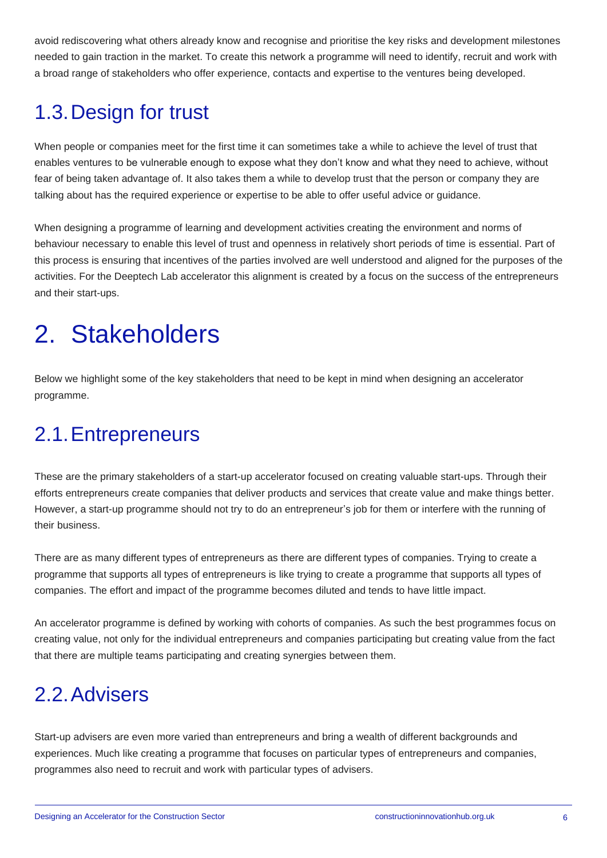avoid rediscovering what others already know and recognise and prioritise the key risks and development milestones needed to gain traction in the market. To create this network a programme will need to identify, recruit and work with a broad range of stakeholders who offer experience, contacts and expertise to the ventures being developed.

#### 1.3.Design for trust

When people or companies meet for the first time it can sometimes take a while to achieve the level of trust that enables ventures to be vulnerable enough to expose what they don't know and what they need to achieve, without fear of being taken advantage of. It also takes them a while to develop trust that the person or company they are talking about has the required experience or expertise to be able to offer useful advice or guidance.

When designing a programme of learning and development activities creating the environment and norms of behaviour necessary to enable this level of trust and openness in relatively short periods of time is essential. Part of this process is ensuring that incentives of the parties involved are well understood and aligned for the purposes of the activities. For the Deeptech Lab accelerator this alignment is created by a focus on the success of the entrepreneurs and their start-ups.

# 2. Stakeholders

Below we highlight some of the key stakeholders that need to be kept in mind when designing an accelerator programme.

#### 2.1.Entrepreneurs

These are the primary stakeholders of a start-up accelerator focused on creating valuable start-ups. Through their efforts entrepreneurs create companies that deliver products and services that create value and make things better. However, a start-up programme should not try to do an entrepreneur's job for them or interfere with the running of their business.

There are as many different types of entrepreneurs as there are different types of companies. Trying to create a programme that supports all types of entrepreneurs is like trying to create a programme that supports all types of companies. The effort and impact of the programme becomes diluted and tends to have little impact.

An accelerator programme is defined by working with cohorts of companies. As such the best programmes focus on creating value, not only for the individual entrepreneurs and companies participating but creating value from the fact that there are multiple teams participating and creating synergies between them.

#### 2.2.Advisers

Start-up advisers are even more varied than entrepreneurs and bring a wealth of different backgrounds and experiences. Much like creating a programme that focuses on particular types of entrepreneurs and companies, programmes also need to recruit and work with particular types of advisers.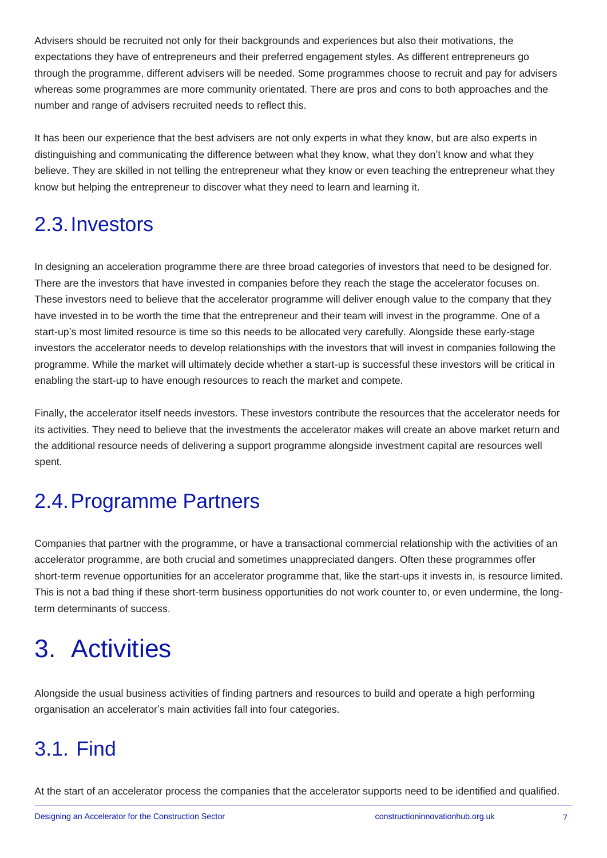Advisers should be recruited not only for their backgrounds and experiences but also their motivations, the expectations they have of entrepreneurs and their preferred engagement styles. As different entrepreneurs go through the programme, different advisers will be needed. Some programmes choose to recruit and pay for advisers whereas some programmes are more community orientated. There are pros and cons to both approaches and the number and range of advisers recruited needs to reflect this.

It has been our experience that the best advisers are not only experts in what they know, but are also experts in distinguishing and communicating the difference between what they know, what they don't know and what they believe. They are skilled in not telling the entrepreneur what they know or even teaching the entrepreneur what they know but helping the entrepreneur to discover what they need to learn and learning it.

#### 2.3.Investors

In designing an acceleration programme there are three broad categories of investors that need to be designed for. There are the investors that have invested in companies before they reach the stage the accelerator focuses on. These investors need to believe that the accelerator programme will deliver enough value to the company that they have invested in to be worth the time that the entrepreneur and their team will invest in the programme. One of a start-up's most limited resource is time so this needs to be allocated very carefully. Alongside these early-stage investors the accelerator needs to develop relationships with the investors that will invest in companies following the programme. While the market will ultimately decide whether a start-up is successful these investors will be critical in enabling the start-up to have enough resources to reach the market and compete.

Finally, the accelerator itself needs investors. These investors contribute the resources that the accelerator needs for its activities. They need to believe that the investments the accelerator makes will create an above market return and the additional resource needs of delivering a support programme alongside investment capital are resources well spent.

#### 2.4.Programme Partners

Companies that partner with the programme, or have a transactional commercial relationship with the activities of an accelerator programme, are both crucial and sometimes unappreciated dangers. Often these programmes offer short-term revenue opportunities for an accelerator programme that, like the start-ups it invests in, is resource limited. This is not a bad thing if these short-term business opportunities do not work counter to, or even undermine, the longterm determinants of success.

# 3. Activities

Alongside the usual business activities of finding partners and resources to build and operate a high performing organisation an accelerator's main activities fall into four categories.

#### 3.1. Find

At the start of an accelerator process the companies that the accelerator supports need to be identified and qualified.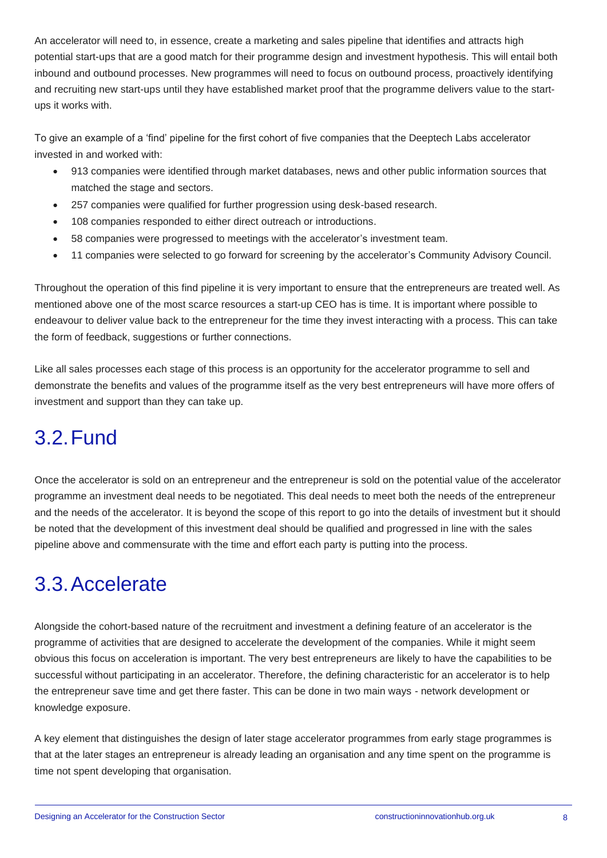An accelerator will need to, in essence, create a marketing and sales pipeline that identifies and attracts high potential start-ups that are a good match for their programme design and investment hypothesis. This will entail both inbound and outbound processes. New programmes will need to focus on outbound process, proactively identifying and recruiting new start-ups until they have established market proof that the programme delivers value to the startups it works with.

To give an example of a 'find' pipeline for the first cohort of five companies that the Deeptech Labs accelerator invested in and worked with:

- 913 companies were identified through market databases, news and other public information sources that matched the stage and sectors.
- 257 companies were qualified for further progression using desk-based research.
- 108 companies responded to either direct outreach or introductions.
- 58 companies were progressed to meetings with the accelerator's investment team.
- 11 companies were selected to go forward for screening by the accelerator's Community Advisory Council.

Throughout the operation of this find pipeline it is very important to ensure that the entrepreneurs are treated well. As mentioned above one of the most scarce resources a start-up CEO has is time. It is important where possible to endeavour to deliver value back to the entrepreneur for the time they invest interacting with a process. This can take the form of feedback, suggestions or further connections.

Like all sales processes each stage of this process is an opportunity for the accelerator programme to sell and demonstrate the benefits and values of the programme itself as the very best entrepreneurs will have more offers of investment and support than they can take up.

#### 3.2.Fund

Once the accelerator is sold on an entrepreneur and the entrepreneur is sold on the potential value of the accelerator programme an investment deal needs to be negotiated. This deal needs to meet both the needs of the entrepreneur and the needs of the accelerator. It is beyond the scope of this report to go into the details of investment but it should be noted that the development of this investment deal should be qualified and progressed in line with the sales pipeline above and commensurate with the time and effort each party is putting into the process.

#### 3.3.Accelerate

Alongside the cohort-based nature of the recruitment and investment a defining feature of an accelerator is the programme of activities that are designed to accelerate the development of the companies. While it might seem obvious this focus on acceleration is important. The very best entrepreneurs are likely to have the capabilities to be successful without participating in an accelerator. Therefore, the defining characteristic for an accelerator is to help the entrepreneur save time and get there faster. This can be done in two main ways - network development or knowledge exposure.

A key element that distinguishes the design of later stage accelerator programmes from early stage programmes is that at the later stages an entrepreneur is already leading an organisation and any time spent on the programme is time not spent developing that organisation.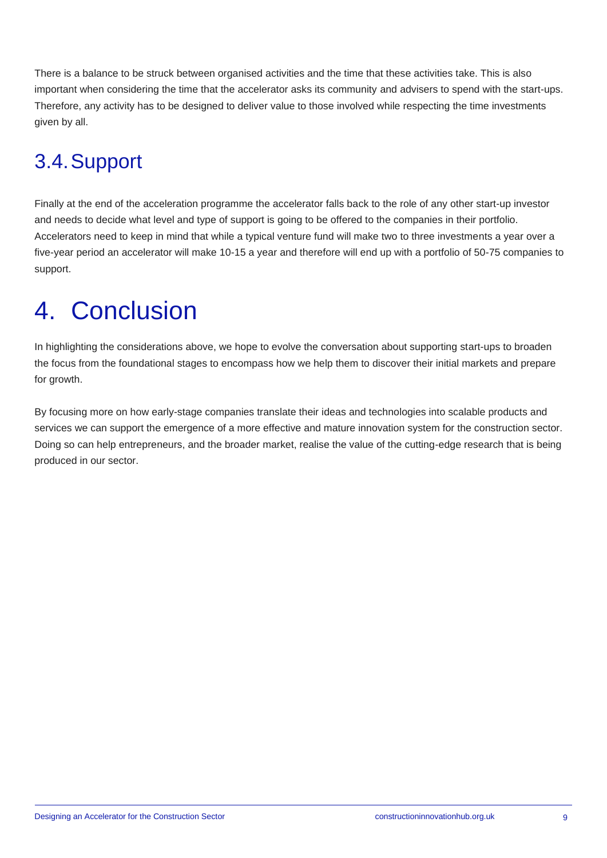There is a balance to be struck between organised activities and the time that these activities take. This is also important when considering the time that the accelerator asks its community and advisers to spend with the start-ups. Therefore, any activity has to be designed to deliver value to those involved while respecting the time investments given by all.

### 3.4.Support

Finally at the end of the acceleration programme the accelerator falls back to the role of any other start-up investor and needs to decide what level and type of support is going to be offered to the companies in their portfolio. Accelerators need to keep in mind that while a typical venture fund will make two to three investments a year over a five-year period an accelerator will make 10-15 a year and therefore will end up with a portfolio of 50-75 companies to support.

# 4. Conclusion

In highlighting the considerations above, we hope to evolve the conversation about supporting start-ups to broaden the focus from the foundational stages to encompass how we help them to discover their initial markets and prepare for growth.

By focusing more on how early-stage companies translate their ideas and technologies into scalable products and services we can support the emergence of a more effective and mature innovation system for the construction sector. Doing so can help entrepreneurs, and the broader market, realise the value of the cutting-edge research that is being produced in our sector.